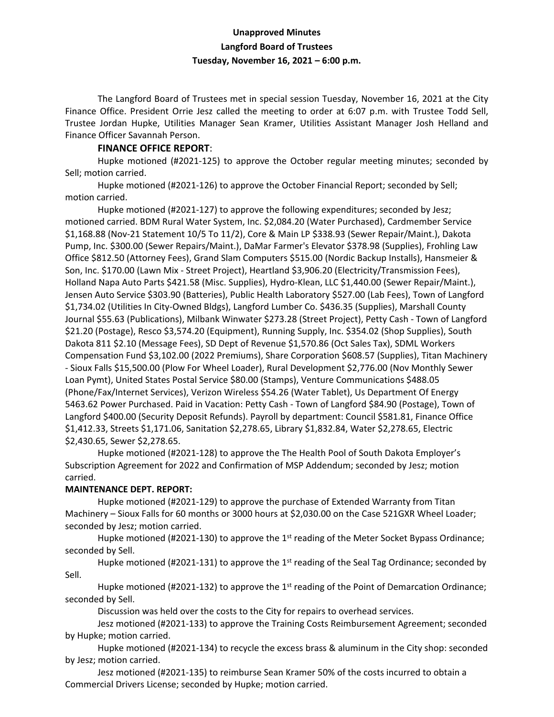# **Unapproved Minutes Langford Board of Trustees Tuesday, November 16, 2021 – 6:00 p.m.**

The Langford Board of Trustees met in special session Tuesday, November 16, 2021 at the City Finance Office. President Orrie Jesz called the meeting to order at 6:07 p.m. with Trustee Todd Sell, Trustee Jordan Hupke, Utilities Manager Sean Kramer, Utilities Assistant Manager Josh Helland and Finance Officer Savannah Person.

### **FINANCE OFFICE REPORT**:

Hupke motioned (#2021-125) to approve the October regular meeting minutes; seconded by Sell; motion carried.

Hupke motioned (#2021-126) to approve the October Financial Report; seconded by Sell; motion carried.

Hupke motioned (#2021-127) to approve the following expenditures; seconded by Jesz; motioned carried. BDM Rural Water System, Inc. \$2,084.20 (Water Purchased), Cardmember Service \$1,168.88 (Nov-21 Statement 10/5 To 11/2), Core & Main LP \$338.93 (Sewer Repair/Maint.), Dakota Pump, Inc. \$300.00 (Sewer Repairs/Maint.), DaMar Farmer's Elevator \$378.98 (Supplies), Frohling Law Office \$812.50 (Attorney Fees), Grand Slam Computers \$515.00 (Nordic Backup Installs), Hansmeier & Son, Inc. \$170.00 (Lawn Mix - Street Project), Heartland \$3,906.20 (Electricity/Transmission Fees), Holland Napa Auto Parts \$421.58 (Misc. Supplies), Hydro-Klean, LLC \$1,440.00 (Sewer Repair/Maint.), Jensen Auto Service \$303.90 (Batteries), Public Health Laboratory \$527.00 (Lab Fees), Town of Langford \$1,734.02 (Utilities In City-Owned Bldgs), Langford Lumber Co. \$436.35 (Supplies), Marshall County Journal \$55.63 (Publications), Milbank Winwater \$273.28 (Street Project), Petty Cash - Town of Langford \$21.20 (Postage), Resco \$3,574.20 (Equipment), Running Supply, Inc. \$354.02 (Shop Supplies), South Dakota 811 \$2.10 (Message Fees), SD Dept of Revenue \$1,570.86 (Oct Sales Tax), SDML Workers Compensation Fund \$3,102.00 (2022 Premiums), Share Corporation \$608.57 (Supplies), Titan Machinery - Sioux Falls \$15,500.00 (Plow For Wheel Loader), Rural Development \$2,776.00 (Nov Monthly Sewer Loan Pymt), United States Postal Service \$80.00 (Stamps), Venture Communications \$488.05 (Phone/Fax/Internet Services), Verizon Wireless \$54.26 (Water Tablet), Us Department Of Energy 5463.62 Power Purchased. Paid in Vacation: Petty Cash - Town of Langford \$84.90 (Postage), Town of Langford \$400.00 (Security Deposit Refunds). Payroll by department: Council \$581.81, Finance Office \$1,412.33, Streets \$1,171.06, Sanitation \$2,278.65, Library \$1,832.84, Water \$2,278.65, Electric \$2,430.65, Sewer \$2,278.65.

Hupke motioned (#2021-128) to approve the The Health Pool of South Dakota Employer's Subscription Agreement for 2022 and Confirmation of MSP Addendum; seconded by Jesz; motion carried.

## **MAINTENANCE DEPT. REPORT:**

Hupke motioned (#2021-129) to approve the purchase of Extended Warranty from Titan Machinery – Sioux Falls for 60 months or 3000 hours at \$2,030.00 on the Case 521GXR Wheel Loader; seconded by Jesz; motion carried.

Hupke motioned (#2021-130) to approve the 1<sup>st</sup> reading of the Meter Socket Bypass Ordinance; seconded by Sell.

Hupke motioned (#2021-131) to approve the 1<sup>st</sup> reading of the Seal Tag Ordinance; seconded by Sell.

Hupke motioned (#2021-132) to approve the 1<sup>st</sup> reading of the Point of Demarcation Ordinance; seconded by Sell.

Discussion was held over the costs to the City for repairs to overhead services.

Jesz motioned (#2021-133) to approve the Training Costs Reimbursement Agreement; seconded by Hupke; motion carried.

Hupke motioned (#2021-134) to recycle the excess brass & aluminum in the City shop: seconded by Jesz; motion carried.

Jesz motioned (#2021-135) to reimburse Sean Kramer 50% of the costs incurred to obtain a Commercial Drivers License; seconded by Hupke; motion carried.